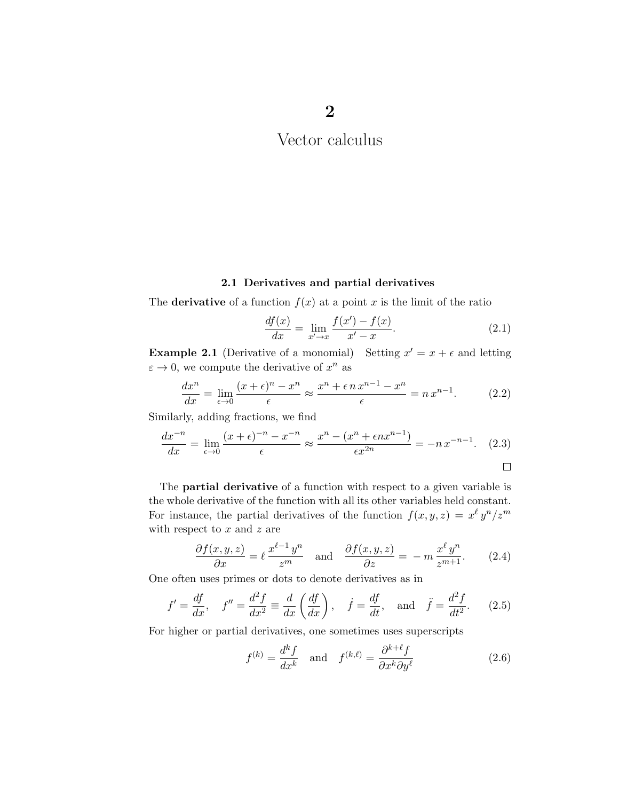## 2.1 Derivatives and partial derivatives

The **derivative** of a function  $f(x)$  at a point *x* is the limit of the ratio

$$
\frac{df(x)}{dx} = \lim_{x' \to x} \frac{f(x') - f(x)}{x' - x}.
$$
\n(2.1)

**Example 2.1** (Derivative of a monomial) Setting  $x' = x + \epsilon$  and letting  $\varepsilon \to 0$ , we compute the derivative of  $x^n$  as

$$
\frac{dx^n}{dx} = \lim_{\epsilon \to 0} \frac{(x+\epsilon)^n - x^n}{\epsilon} \approx \frac{x^n + \epsilon n x^{n-1} - x^n}{\epsilon} = n x^{n-1}.
$$
 (2.2)

Similarly, adding fractions, we find

$$
\frac{dx^{-n}}{dx} = \lim_{\epsilon \to 0} \frac{(x+\epsilon)^{-n} - x^{-n}}{\epsilon} \approx \frac{x^n - (x^n + \epsilon nx^{n-1})}{\epsilon x^{2n}} = -nx^{-n-1}.
$$
 (2.3)

The **partial derivative** of a function with respect to a given variable is the whole derivative of the function with all its other variables held constant. For instance, the partial derivatives of the function 
$$
f(x, y, z) = x^{\ell} y^{n}/z^{m}
$$
 with respect to x and z are

$$
\frac{\partial f(x,y,z)}{\partial x} = \ell \frac{x^{\ell-1} y^n}{z^m} \quad \text{and} \quad \frac{\partial f(x,y,z)}{\partial z} = -m \frac{x^{\ell} y^n}{z^{m+1}}.
$$
 (2.4)

One often uses primes or dots to denote derivatives as in

$$
f' = \frac{df}{dx}, \quad f'' = \frac{d^2f}{dx^2} \equiv \frac{d}{dx}\left(\frac{df}{dx}\right), \quad \dot{f} = \frac{df}{dt}, \quad \text{and} \quad \ddot{f} = \frac{d^2f}{dt^2}.
$$
 (2.5)

For higher or partial derivatives, one sometimes uses superscripts

$$
f^{(k)} = \frac{d^k f}{dx^k} \quad \text{and} \quad f^{(k,\ell)} = \frac{\partial^{k+\ell} f}{\partial x^k \partial y^\ell} \tag{2.6}
$$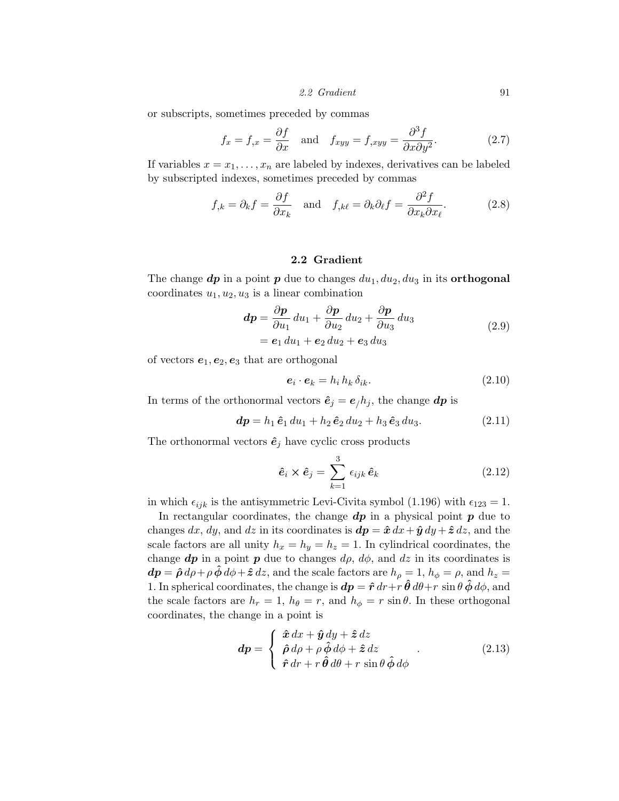*2.2 Gradient* 91

or subscripts, sometimes preceded by commas

$$
f_x = f_{,x} = \frac{\partial f}{\partial x} \quad \text{and} \quad f_{xyy} = f_{,xyy} = \frac{\partial^3 f}{\partial x \partial y^2}.
$$
 (2.7)

If variables  $x = x_1, \ldots, x_n$  are labeled by indexes, derivatives can be labeled by subscripted indexes, sometimes preceded by commas

$$
f_{,k} = \partial_k f = \frac{\partial f}{\partial x_k}
$$
 and  $f_{,k\ell} = \partial_k \partial_\ell f = \frac{\partial^2 f}{\partial x_k \partial x_\ell}$ . (2.8)

### 2.2 Gradient

The change  $dp$  in a point  $p$  due to changes  $du_1, du_2, du_3$  in its **orthogonal** coordinates  $u_1, u_2, u_3$  is a linear combination

$$
dp = \frac{\partial p}{\partial u_1} du_1 + \frac{\partial p}{\partial u_2} du_2 + \frac{\partial p}{\partial u_3} du_3
$$
 (2.9)

 $= e_1 du_1 + e_2 du_2 + e_3 du_3$ 

of vectors  $e_1, e_2, e_3$  that are orthogonal

$$
\boldsymbol{e}_i \cdot \boldsymbol{e}_k = h_i \, h_k \, \delta_{ik}.\tag{2.10}
$$

In terms of the orthonormal vectors  $\hat{\mathbf{e}}_j = \mathbf{e}_j h_j$ , the change  $d\mathbf{p}$  is

$$
dp = h_1 \,\hat{e}_1 \, du_1 + h_2 \,\hat{e}_2 \, du_2 + h_3 \,\hat{e}_3 \, du_3. \tag{2.11}
$$

The orthonormal vectors  $\hat{\mathbf{e}}_j$  have cyclic cross products

$$
\hat{\mathbf{e}}_i \times \hat{\mathbf{e}}_j = \sum_{k=1}^3 \epsilon_{ijk} \,\hat{\mathbf{e}}_k \tag{2.12}
$$

in which  $\epsilon_{ijk}$  is the antisymmetric Levi-Civita symbol (1.196) with  $\epsilon_{123} = 1$ .

In rectangular coordinates, the change *dp* in a physical point *p* due to changes  $dx$ ,  $dy$ , and  $dz$  in its coordinates is  $d\mathbf{p} = \hat{\mathbf{x}} dx + \hat{\mathbf{y}} dy + \hat{\mathbf{z}} dz$ , and the scale factors are all unity  $h_x = h_y = h_z = 1$ . In cylindrical coordinates, the change  $dp$  in a point  $p$  due to changes  $d\rho$ ,  $d\phi$ , and  $dz$  in its coordinates is  $d\mathbf{p} = \hat{\mathbf{\rho}} d\rho + \rho \hat{\mathbf{\phi}} d\phi + \hat{\mathbf{z}} dz$ , and the scale factors are  $h_{\rho} = 1$ ,  $h_{\phi} = \rho$ , and  $h_{z} = 1$ 1. In spherical coordinates, the change is  $d\mathbf{p} = \hat{\mathbf{r}} dr + r \hat{\mathbf{\theta}} d\theta + r \sin \theta \hat{\mathbf{\phi}} d\phi$ , and the scale factors are  $h_r = 1$ ,  $h_\theta = r$ , and  $h_\phi = r \sin \theta$ . In these orthogonal coordinates, the change in a point is

$$
\mathbf{d}p = \begin{cases} \hat{\mathbf{x}} \, dx + \hat{\mathbf{y}} \, dy + \hat{\mathbf{z}} \, dz \\ \hat{\rho} \, d\rho + \rho \, \hat{\phi} \, d\phi + \hat{\mathbf{z}} \, dz \\ \hat{\mathbf{r}} \, dr + r \, \hat{\boldsymbol{\theta}} \, d\theta + r \, \sin \theta \, \hat{\phi} \, d\phi \end{cases} \tag{2.13}
$$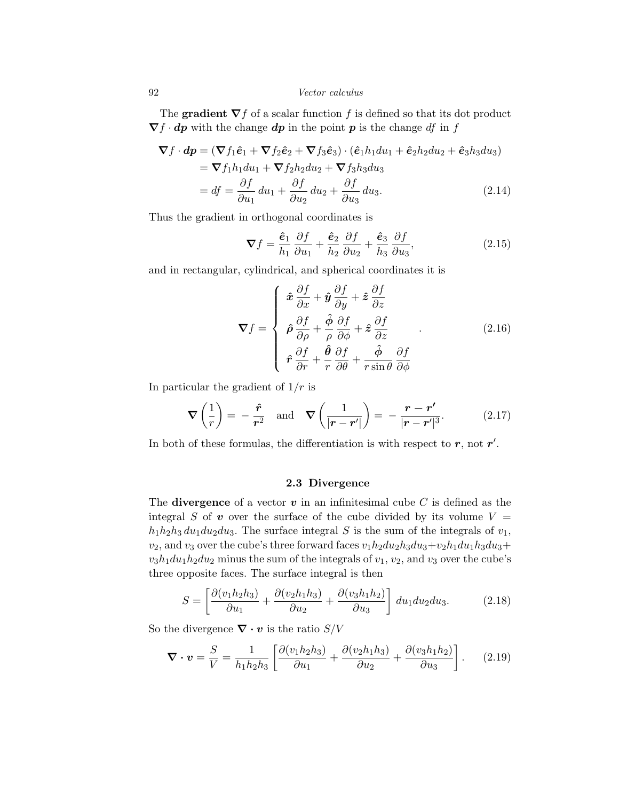The **gradient**  $\nabla f$  of a scalar function f is defined so that its dot product  $\nabla f \cdot dp$  with the change  $dp$  in the point  $p$  is the change *df* in  $f$ 

$$
\nabla f \cdot d\mathbf{p} = (\nabla f_1 \hat{e}_1 + \nabla f_2 \hat{e}_2 + \nabla f_3 \hat{e}_3) \cdot (\hat{e}_1 h_1 du_1 + \hat{e}_2 h_2 du_2 + \hat{e}_3 h_3 du_3)
$$
  
=  $\nabla f_1 h_1 du_1 + \nabla f_2 h_2 du_2 + \nabla f_3 h_3 du_3$   
=  $df = \frac{\partial f}{\partial u_1} du_1 + \frac{\partial f}{\partial u_2} du_2 + \frac{\partial f}{\partial u_3} du_3.$  (2.14)

Thus the gradient in orthogonal coordinates is

$$
\nabla f = \frac{\hat{\mathbf{e}}_1}{h_1} \frac{\partial f}{\partial u_1} + \frac{\hat{\mathbf{e}}_2}{h_2} \frac{\partial f}{\partial u_2} + \frac{\hat{\mathbf{e}}_3}{h_3} \frac{\partial f}{\partial u_3},\tag{2.15}
$$

and in rectangular, cylindrical, and spherical coordinates it is

$$
\nabla f = \begin{cases}\n\hat{\boldsymbol{x}} \frac{\partial f}{\partial x} + \hat{\boldsymbol{y}} \frac{\partial f}{\partial y} + \hat{\boldsymbol{z}} \frac{\partial f}{\partial z} \\
\hat{\rho} \frac{\partial f}{\partial \rho} + \frac{\hat{\phi}}{\rho} \frac{\partial f}{\partial \phi} + \hat{\boldsymbol{z}} \frac{\partial f}{\partial z} \\
\hat{\boldsymbol{r}} \frac{\partial f}{\partial r} + \frac{\hat{\theta}}{r} \frac{\partial f}{\partial \theta} + \frac{\hat{\phi}}{r \sin \theta} \frac{\partial f}{\partial \phi}\n\end{cases}
$$
\n(2.16)

In particular the gradient of 1*/r* is

$$
\nabla \left( \frac{1}{r} \right) = -\frac{\hat{r}}{r^2} \quad \text{and} \quad \nabla \left( \frac{1}{|\mathbf{r} - \mathbf{r}'|} \right) = -\frac{\mathbf{r} - \mathbf{r}'}{|\mathbf{r} - \mathbf{r}'|^3}.
$$
 (2.17)

In both of these formulas, the differentiation is with respect to  $r$ , not  $r'$ .

### 2.3 Divergence

The **divergence** of a vector  $v$  in an infinitesimal cube  $C$  is defined as the integral *S* of *v* over the surface of the cube divided by its volume  $V =$  $h_1h_2h_3 du_1 du_2 du_3$ . The surface integral *S* is the sum of the integrals of  $v_1$ ,  $v_2$ , and  $v_3$  over the cube's three forward faces  $v_1h_2du_2h_3du_3+v_2h_1du_1h_3du_3+$  $v_3h_1du_1h_2du_2$  minus the sum of the integrals of  $v_1$ ,  $v_2$ , and  $v_3$  over the cube's three opposite faces. The surface integral is then

$$
S = \left[\frac{\partial(v_1 h_2 h_3)}{\partial u_1} + \frac{\partial(v_2 h_1 h_3)}{\partial u_2} + \frac{\partial(v_3 h_1 h_2)}{\partial u_3}\right] du_1 du_2 du_3.
$$
 (2.18)

So the divergence  $\nabla \cdot \mathbf{v}$  is the ratio *S/V* 

$$
\nabla \cdot \mathbf{v} = \frac{S}{V} = \frac{1}{h_1 h_2 h_3} \left[ \frac{\partial (v_1 h_2 h_3)}{\partial u_1} + \frac{\partial (v_2 h_1 h_3)}{\partial u_2} + \frac{\partial (v_3 h_1 h_2)}{\partial u_3} \right].
$$
 (2.19)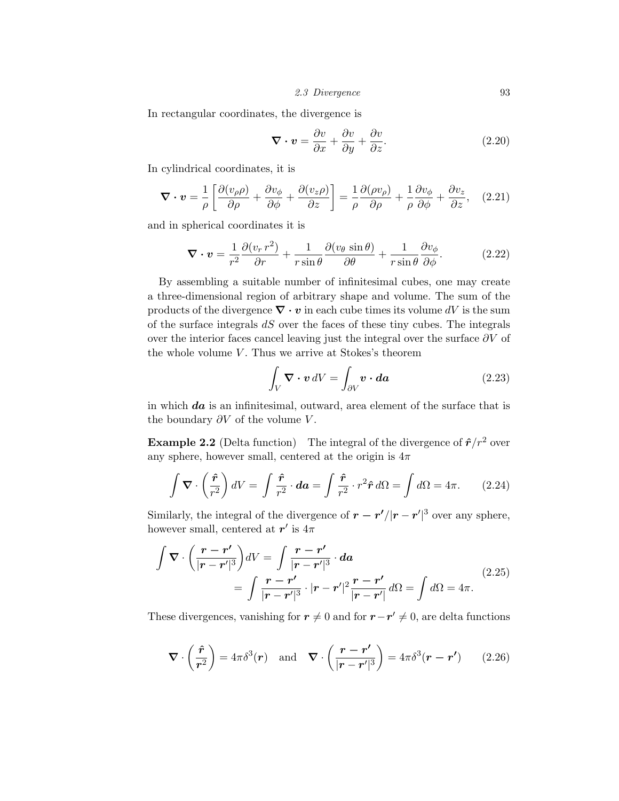*2.3 Divergence* 93

In rectangular coordinates, the divergence is

$$
\nabla \cdot \mathbf{v} = \frac{\partial v}{\partial x} + \frac{\partial v}{\partial y} + \frac{\partial v}{\partial z}.
$$
 (2.20)

In cylindrical coordinates, it is

$$
\nabla \cdot \mathbf{v} = \frac{1}{\rho} \left[ \frac{\partial (v_{\rho}\rho)}{\partial \rho} + \frac{\partial v_{\phi}}{\partial \phi} + \frac{\partial (v_{z}\rho)}{\partial z} \right] = \frac{1}{\rho} \frac{\partial (\rho v_{\rho})}{\partial \rho} + \frac{1}{\rho} \frac{\partial v_{\phi}}{\partial \phi} + \frac{\partial v_{z}}{\partial z}, \quad (2.21)
$$

and in spherical coordinates it is

$$
\nabla \cdot \mathbf{v} = \frac{1}{r^2} \frac{\partial (v_r \, r^2)}{\partial r} + \frac{1}{r \sin \theta} \frac{\partial (v_\theta \sin \theta)}{\partial \theta} + \frac{1}{r \sin \theta} \frac{\partial v_\phi}{\partial \phi}.
$$
 (2.22)

By assembling a suitable number of infinitesimal cubes, one may create a three-dimensional region of arbitrary shape and volume. The sum of the products of the divergence  $\nabla \cdot \mathbf{v}$  in each cube times its volume  $dV$  is the sum of the surface integrals *dS* over the faces of these tiny cubes. The integrals over the interior faces cancel leaving just the integral over the surface  $\partial V$  of the whole volume *V*. Thus we arrive at Stokes's theorem

$$
\int_{V} \mathbf{\nabla} \cdot \mathbf{v} \, dV = \int_{\partial V} \mathbf{v} \cdot d\mathbf{a} \tag{2.23}
$$

in which *da* is an infinitesimal, outward, area element of the surface that is the boundary  $\partial V$  of the volume  $V$ .

**Example 2.2** (Delta function) The integral of the divergence of  $\hat{r}/r^2$  over any sphere, however small, centered at the origin is  $4\pi$ 

$$
\int \mathbf{\nabla} \cdot \left(\frac{\hat{\mathbf{r}}}{r^2}\right) dV = \int \frac{\hat{\mathbf{r}}}{r^2} \cdot d\mathbf{a} = \int \frac{\hat{\mathbf{r}}}{r^2} \cdot r^2 \hat{\mathbf{r}} d\Omega = \int d\Omega = 4\pi. \quad (2.24)
$$

Similarly, the integral of the divergence of  $r - r'/|r - r'|^3$  over any sphere, however small, centered at  $r'$  is  $4\pi$ 

$$
\int \nabla \cdot \left( \frac{\boldsymbol{r} - \boldsymbol{r}'}{|\boldsymbol{r} - \boldsymbol{r}'|^3} \right) dV = \int \frac{\boldsymbol{r} - \boldsymbol{r}'}{|\boldsymbol{r} - \boldsymbol{r}'|^3} \cdot d\boldsymbol{a}
$$
\n
$$
= \int \frac{\boldsymbol{r} - \boldsymbol{r}'}{|\boldsymbol{r} - \boldsymbol{r}'|^3} \cdot |\boldsymbol{r} - \boldsymbol{r}'|^2 \frac{\boldsymbol{r} - \boldsymbol{r}'}{|\boldsymbol{r} - \boldsymbol{r}'|} d\Omega = \int d\Omega = 4\pi.
$$
\n(2.25)

These divergences, vanishing for  $r \neq 0$  and for  $r-r' \neq 0$ , are delta functions

$$
\nabla \cdot \left(\frac{\hat{r}}{r^2}\right) = 4\pi \delta^3(r) \quad \text{and} \quad \nabla \cdot \left(\frac{r - r'}{|r - r'|^3}\right) = 4\pi \delta^3(r - r') \qquad (2.26)
$$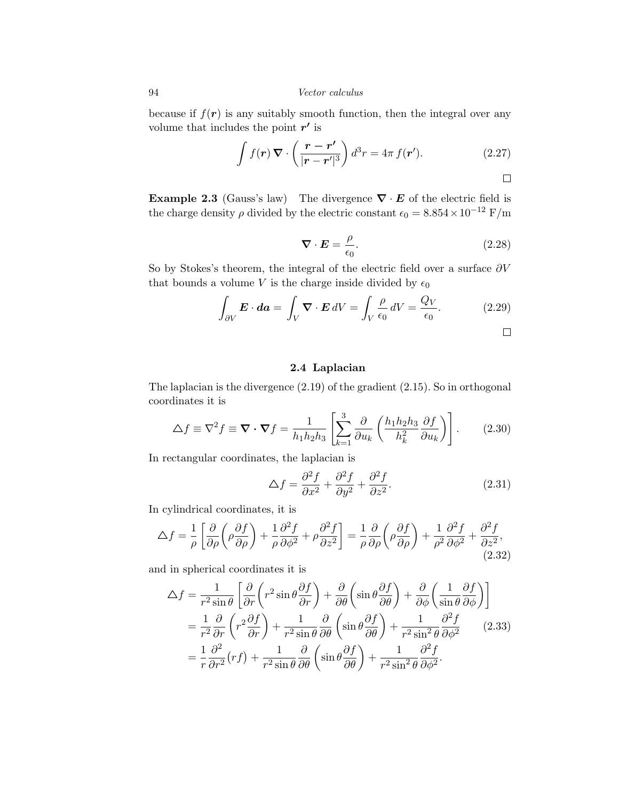because if  $f(r)$  is any suitably smooth function, then the integral over any volume that includes the point  $r^\prime$  is

$$
\int f(\mathbf{r}) \, \nabla \cdot \left(\frac{\mathbf{r} - \mathbf{r}'}{|\mathbf{r} - \mathbf{r}'|^3}\right) d^3 r = 4\pi \, f(\mathbf{r}'). \tag{2.27}
$$

**Example 2.3** (Gauss's law) The divergence  $\nabla \cdot \mathbf{E}$  of the electric field is the charge density  $\rho$  divided by the electric constant  $\epsilon_0 = 8.854 \times 10^{-12}$  F/m

$$
\nabla \cdot \boldsymbol{E} = \frac{\rho}{\epsilon_0}.
$$
\n(2.28)

So by Stokes's theorem, the integral of the electric field over a surface  $\partial V$ that bounds a volume *V* is the charge inside divided by  $\epsilon_0$ 

$$
\int_{\partial V} \mathbf{E} \cdot d\mathbf{a} = \int_{V} \mathbf{\nabla} \cdot \mathbf{E} \, dV = \int_{V} \frac{\rho}{\epsilon_0} \, dV = \frac{Q_V}{\epsilon_0}.\tag{2.29}
$$

 $\Box$ 

# 2.4 Laplacian

The laplacian is the divergence (2.19) of the gradient (2.15). So in orthogonal coordinates it is

$$
\Delta f \equiv \nabla^2 f \equiv \mathbf{\nabla} \cdot \mathbf{\nabla} f = \frac{1}{h_1 h_2 h_3} \left[ \sum_{k=1}^3 \frac{\partial}{\partial u_k} \left( \frac{h_1 h_2 h_3}{h_k^2} \frac{\partial f}{\partial u_k} \right) \right].
$$
 (2.30)

In rectangular coordinates, the laplacian is

$$
\Delta f = \frac{\partial^2 f}{\partial x^2} + \frac{\partial^2 f}{\partial y^2} + \frac{\partial^2 f}{\partial z^2}.
$$
 (2.31)

In cylindrical coordinates, it is

$$
\Delta f = \frac{1}{\rho} \left[ \frac{\partial}{\partial \rho} \left( \rho \frac{\partial f}{\partial \rho} \right) + \frac{1}{\rho} \frac{\partial^2 f}{\partial \phi^2} + \rho \frac{\partial^2 f}{\partial z^2} \right] = \frac{1}{\rho} \frac{\partial}{\partial \rho} \left( \rho \frac{\partial f}{\partial \rho} \right) + \frac{1}{\rho^2} \frac{\partial^2 f}{\partial \phi^2} + \frac{\partial^2 f}{\partial z^2},\tag{2.32}
$$

and in spherical coordinates it is

$$
\Delta f = \frac{1}{r^2 \sin \theta} \left[ \frac{\partial}{\partial r} \left( r^2 \sin \theta \frac{\partial f}{\partial r} \right) + \frac{\partial}{\partial \theta} \left( \sin \theta \frac{\partial f}{\partial \theta} \right) + \frac{\partial}{\partial \phi} \left( \frac{1}{\sin \theta} \frac{\partial f}{\partial \phi} \right) \right]
$$
  
=  $\frac{1}{r^2} \frac{\partial}{\partial r} \left( r^2 \frac{\partial f}{\partial r} \right) + \frac{1}{r^2 \sin \theta} \frac{\partial}{\partial \theta} \left( \sin \theta \frac{\partial f}{\partial \theta} \right) + \frac{1}{r^2 \sin^2 \theta} \frac{\partial^2 f}{\partial \phi^2}$  (2.33)  
=  $\frac{1}{r} \frac{\partial^2}{\partial r^2} (rf) + \frac{1}{r^2 \sin \theta} \frac{\partial}{\partial \theta} \left( \sin \theta \frac{\partial f}{\partial \theta} \right) + \frac{1}{r^2 \sin^2 \theta} \frac{\partial^2 f}{\partial \phi^2}.$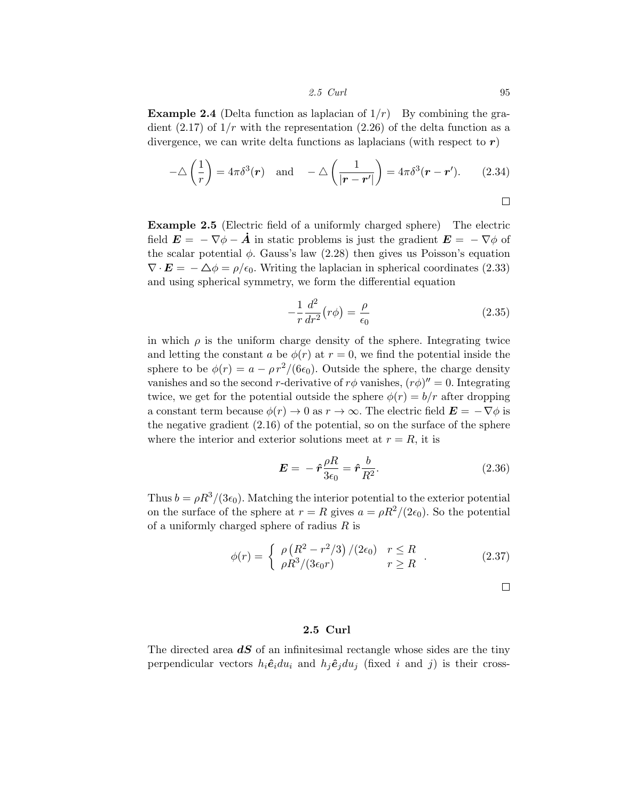*2.5 Curl* 95

**Example 2.4** (Delta function as laplacian of  $1/r$ ) By combining the gradient  $(2.17)$  of  $1/r$  with the representation  $(2.26)$  of the delta function as a divergence, we can write delta functions as laplacians (with respect to *r*)

$$
-\triangle \left(\frac{1}{r}\right) = 4\pi \delta^3(\mathbf{r}) \quad \text{and} \quad -\triangle \left(\frac{1}{|\mathbf{r} - \mathbf{r}'|}\right) = 4\pi \delta^3(\mathbf{r} - \mathbf{r}'). \tag{2.34}
$$

 $\Box$ 

Example 2.5 (Electric field of a uniformly charged sphere) The electric field  $\mathbf{E} = -\nabla \phi - \dot{\mathbf{A}}$  in static problems is just the gradient  $\mathbf{E} = -\nabla \phi$  of the scalar potential  $\phi$ . Gauss's law (2.28) then gives us Poisson's equation  $\nabla \cdot \mathbf{E} = -\Delta \phi = \rho/\epsilon_0$ . Writing the laplacian in spherical coordinates (2.33) and using spherical symmetry, we form the differential equation

$$
-\frac{1}{r}\frac{d^2}{dr^2}(r\phi) = \frac{\rho}{\epsilon_0}
$$
\n(2.35)

in which  $\rho$  is the uniform charge density of the sphere. Integrating twice and letting the constant *a* be  $\phi(r)$  at  $r = 0$ , we find the potential inside the sphere to be  $\phi(r) = a - \rho r^2/(6\epsilon_0)$ . Outside the sphere, the charge density vanishes and so the second *r*-derivative of  $r\phi$  vanishes,  $(r\phi)'' = 0$ . Integrating twice, we get for the potential outside the sphere  $\phi(r) = b/r$  after dropping a constant term because  $\phi(r) \to 0$  as  $r \to \infty$ . The electric field  $\mathbf{E} = -\nabla \phi$  is the negative gradient (2.16) of the potential, so on the surface of the sphere where the interior and exterior solutions meet at  $r = R$ , it is

$$
E = -\hat{r}\frac{\rho R}{3\epsilon_0} = \hat{r}\frac{b}{R^2}.\tag{2.36}
$$

Thus  $b = \rho R^3/(3\epsilon_0)$ . Matching the interior potential to the exterior potential on the surface of the sphere at  $r = R$  gives  $a = \rho R^2/(2\epsilon_0)$ . So the potential of a uniformly charged sphere of radius *R* is

$$
\phi(r) = \begin{cases} \rho \left( R^2 - r^2/3 \right) / (2\epsilon_0) & r \le R \\ \rho R^3 / (3\epsilon_0 r) & r \ge R \end{cases} . \tag{2.37}
$$

 $\Box$ 

### 2.5 Curl

The directed area *dS* of an infinitesimal rectangle whose sides are the tiny perpendicular vectors  $h_i \hat{e}_i du_i$  and  $h_j \hat{e}_j du_j$  (fixed *i* and *j*) is their cross-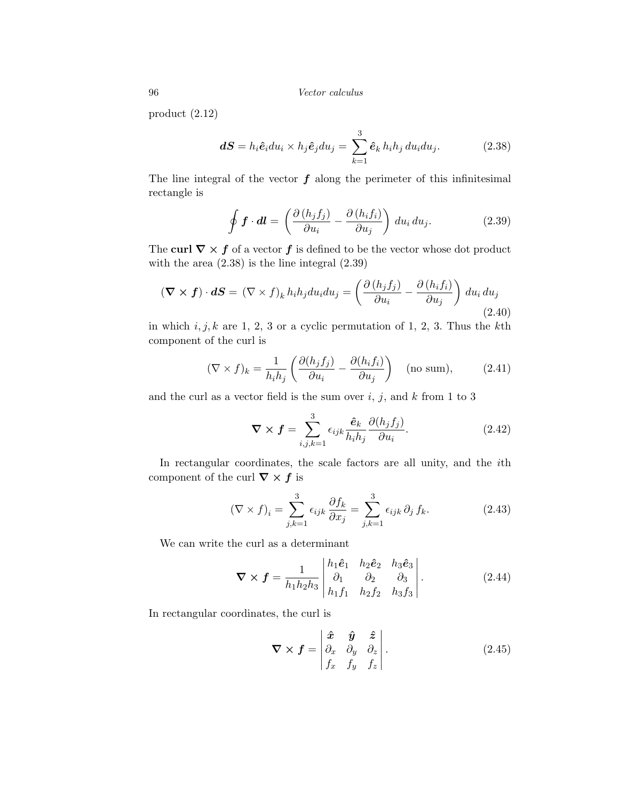product (2.12)

$$
dS = h_i \hat{e}_i du_i \times h_j \hat{e}_j du_j = \sum_{k=1}^3 \hat{e}_k h_i h_j du_i du_j.
$$
 (2.38)

The line integral of the vector  $f$  along the perimeter of this infinitesimal rectangle is

$$
\oint \boldsymbol{f} \cdot d\boldsymbol{l} = \left( \frac{\partial \left( h_j f_j \right)}{\partial u_i} - \frac{\partial \left( h_i f_i \right)}{\partial u_j} \right) du_i du_j. \tag{2.39}
$$

The curl  $\nabla \times f$  of a vector  $f$  is defined to be the vector whose dot product with the area  $(2.38)$  is the line integral  $(2.39)$ 

$$
(\nabla \times \mathbf{f}) \cdot d\mathbf{S} = (\nabla \times \mathbf{f})_k h_i h_j du_i du_j = \left(\frac{\partial (h_j f_j)}{\partial u_i} - \frac{\partial (h_i f_i)}{\partial u_j}\right) du_i du_j
$$
\n(2.40)

in which *i, j, k* are 1, 2, 3 or a cyclic permutation of 1, 2, 3. Thus the *k*th component of the curl is

$$
(\nabla \times f)_k = \frac{1}{h_i h_j} \left( \frac{\partial (h_j f_j)}{\partial u_i} - \frac{\partial (h_i f_i)}{\partial u_j} \right) \quad \text{(no sum)},\tag{2.41}
$$

and the curl as a vector field is the sum over  $i$ ,  $j$ , and  $k$  from 1 to 3

$$
\nabla \times \boldsymbol{f} = \sum_{i,j,k=1}^{3} \epsilon_{ijk} \frac{\hat{\boldsymbol{e}}_k}{h_i h_j} \frac{\partial (h_j f_j)}{\partial u_i}.
$$
 (2.42)

In rectangular coordinates, the scale factors are all unity, and the *i*th component of the curl  $\nabla \times f$  is

$$
(\nabla \times f)_i = \sum_{j,k=1}^3 \epsilon_{ijk} \frac{\partial f_k}{\partial x_j} = \sum_{j,k=1}^3 \epsilon_{ijk} \partial_j f_k.
$$
 (2.43)

We can write the curl as a determinant

$$
\nabla \times \boldsymbol{f} = \frac{1}{h_1 h_2 h_3} \begin{vmatrix} h_1 \hat{\boldsymbol{e}}_1 & h_2 \hat{\boldsymbol{e}}_2 & h_3 \hat{\boldsymbol{e}}_3 \\ \partial_1 & \partial_2 & \partial_3 \\ h_1 f_1 & h_2 f_2 & h_3 f_3 \end{vmatrix} . \tag{2.44}
$$

In rectangular coordinates, the curl is

$$
\nabla \times \boldsymbol{f} = \begin{vmatrix} \hat{\boldsymbol{x}} & \hat{\boldsymbol{y}} & \hat{\boldsymbol{z}} \\ \partial_x & \partial_y & \partial_z \\ f_x & f_y & f_z \end{vmatrix} . \tag{2.45}
$$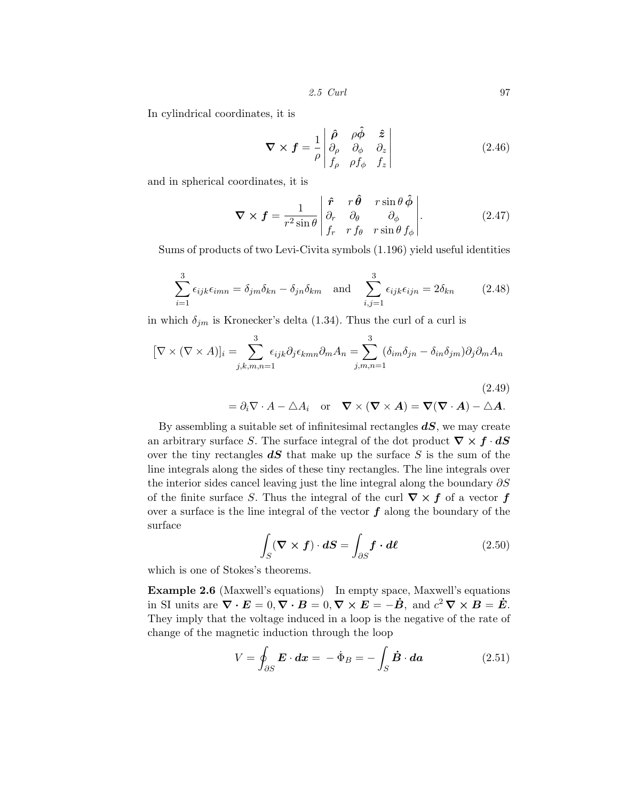*2.5 Curl* 97

In cylindrical coordinates, it is

$$
\nabla \times \boldsymbol{f} = \frac{1}{\rho} \begin{vmatrix} \hat{\rho} & \rho \hat{\phi} & \hat{z} \\ \partial_{\rho} & \partial_{\phi} & \partial_{z} \\ f_{\rho} & \rho f_{\phi} & f_{z} \end{vmatrix}
$$
(2.46)

and in spherical coordinates, it is

$$
\nabla \times \boldsymbol{f} = \frac{1}{r^2 \sin \theta} \begin{vmatrix} \hat{\boldsymbol{r}} & r \hat{\boldsymbol{\theta}} & r \sin \theta \hat{\boldsymbol{\phi}} \\ \partial_r & \partial_\theta & \partial_\phi \\ f_r & r f_\theta & r \sin \theta f_\phi \end{vmatrix} . \tag{2.47}
$$

Sums of products of two Levi-Civita symbols (1.196) yield useful identities

$$
\sum_{i=1}^{3} \epsilon_{ijk} \epsilon_{imn} = \delta_{jm} \delta_{kn} - \delta_{jn} \delta_{km} \quad \text{and} \quad \sum_{i,j=1}^{3} \epsilon_{ijk} \epsilon_{ijn} = 2\delta_{kn} \tag{2.48}
$$

in which  $\delta_{jm}$  is Kronecker's delta (1.34). Thus the curl of a curl is

$$
[\nabla \times (\nabla \times A)]_i = \sum_{j,k,m,n=1}^3 \epsilon_{ijk} \partial_j \epsilon_{kmn} \partial_m A_n = \sum_{j,m,n=1}^3 (\delta_{im} \delta_{jn} - \delta_{in} \delta_{jm}) \partial_j \partial_m A_n
$$
  
=  $\partial_i \nabla \cdot A - \Delta A_i$  or  $\nabla \times (\nabla \times A) = \nabla (\nabla \cdot A) - \Delta A$ . (2.49)

By assembling a suitable set of infinitesimal rectangles *dS*, we may create an arbitrary surface *S*. The surface integral of the dot product  $\nabla \times f \cdot dS$ over the tiny rectangles *dS* that make up the surface *S* is the sum of the line integrals along the sides of these tiny rectangles. The line integrals over the interior sides cancel leaving just the line integral along the boundary  $\partial S$ of the finite surface *S*. Thus the integral of the curl  $\nabla \times f$  of a vector *f* over a surface is the line integral of the vector *f* along the boundary of the surface

$$
\int_{S} (\mathbf{\nabla} \times \mathbf{f}) \cdot d\mathbf{S} = \int_{\partial S} \mathbf{f} \cdot d\mathbf{\ell}
$$
\n(2.50)

which is one of Stokes's theorems.

Example 2.6 (Maxwell's equations) In empty space, Maxwell's equations in SI units are  $\nabla \cdot \mathbf{E} = 0$ ,  $\nabla \cdot \mathbf{B} = 0$ ,  $\nabla \times \mathbf{E} = -\dot{\mathbf{B}}$ , and  $c^2 \nabla \times \mathbf{B} = \dot{\mathbf{E}}$ . They imply that the voltage induced in a loop is the negative of the rate of change of the magnetic induction through the loop

$$
V = \oint_{\partial S} \boldsymbol{E} \cdot d\boldsymbol{x} = -\dot{\Phi}_B = -\int_S \dot{\boldsymbol{B}} \cdot d\boldsymbol{a}
$$
 (2.51)